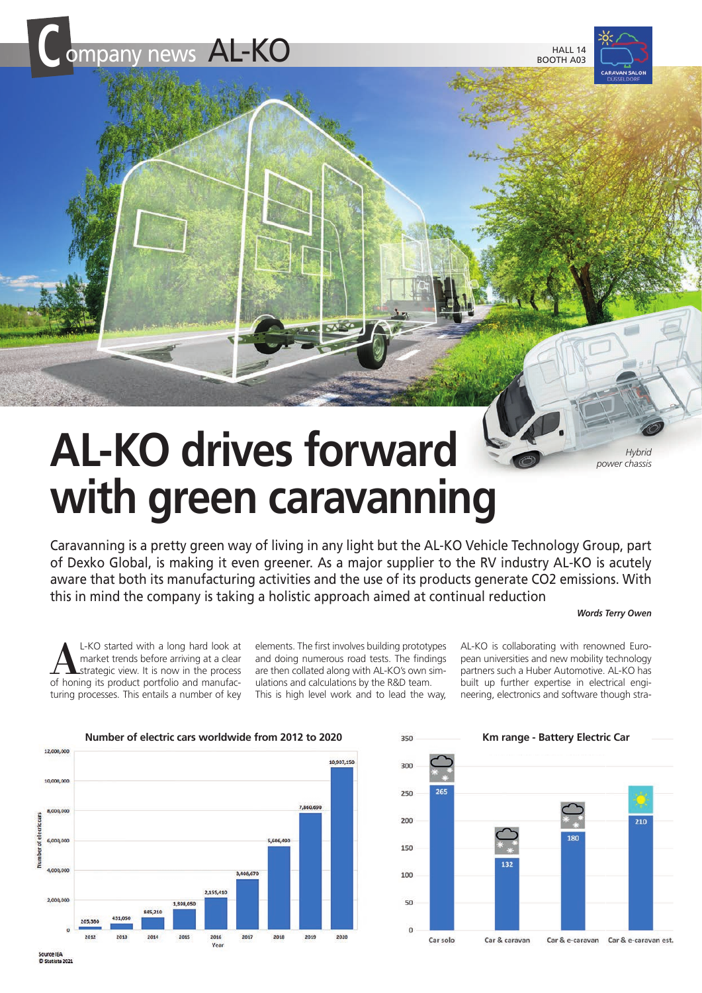



# AL-KO drives forward **with green caravanning**

Caravanning is a pretty green way of living in any light but the AL-KO Vehicle Technology Group, part of Dexko Global, is making it even greener. As a major supplier to the RV industry AL-KO is acutely aware that both its manufacturing activities and the use of its products generate CO2 emissions. With this in mind the company is taking a holistic approach aimed at continual reduction

# *Words Terry Owen*

L-KO started with a long hard look at market trends before arriving at a clear strategic view. It is now in the process of honing its product portfolio and manufacturing processes. This entails a number of key

elements. The first involves building prototypes and doing numerous road tests. The findings are then collated along with AL-KO's own simulations and calculations by the R&D team. This is high level work and to lead the way,

AL-KO is collaborating with renowned European universities and new mobility technology partners such a Huber Automotive. AL-KO has built up further expertise in electrical engineering, electronics and software though stra-



300 250 200 210 150 100 50  $\Omega$ Car solo Car & caravan Car & e-caravan Car & e-caravan est.

Source IEA<br>© Statista 202